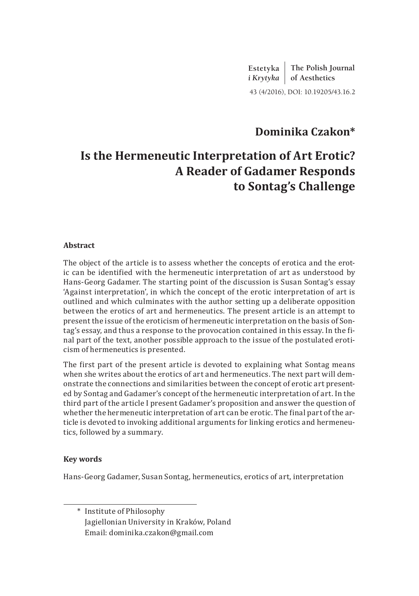**Estetyka**  *i Krytyka* **of Aesthetics The Polish Journal** 43 (4/2016), DOI: 10.19205/43.16.2

# **Dominika Czakon\***

# **Is the Hermeneutic Interpretation of Art Erotic? A Reader of Gadamer Responds to Sontag's Challenge**

#### **Abstract**

The object of the article is to assess whether the concepts of erotica and the erotic can be identified with the hermeneutic interpretation of art as understood by Hans‑Georg Gadamer. The starting point of the discussion is Susan Sontag's essay 'Against interpretation', in which the concept of the erotic interpretation of art is outlined and which culminates with the author setting up a deliberate opposition between the erotics of art and hermeneutics. The present article is an attempt to present the issue of the eroticism of hermeneutic interpretation on the basis of Sontag's essay, and thus a response to the provocation contained in this essay. In the final part of the text, another possible approach to the issue of the postulated eroticism of hermeneutics is presented.

The first part of the present article is devoted to explaining what Sontag means when she writes about the erotics of art and hermeneutics. The next part will demonstrate the connections and similarities between the concept of erotic art presented by Sontag and Gadamer's concept of the hermeneutic interpretation of art. In the third part of the article I present Gadamer's proposition and answer the question of whether the hermeneutic interpretation of art can be erotic. The final part of the article is devoted to invoking additional arguments for linking erotics and hermeneutics, followed by a summary.

#### **Key words**

Hans-Georg Gadamer, Susan Sontag, hermeneutics, erotics of art, interpretation

\* Institute of Philosophy Jagiellonian University in Kraków, Poland Email: dominika.czakon@gmail.com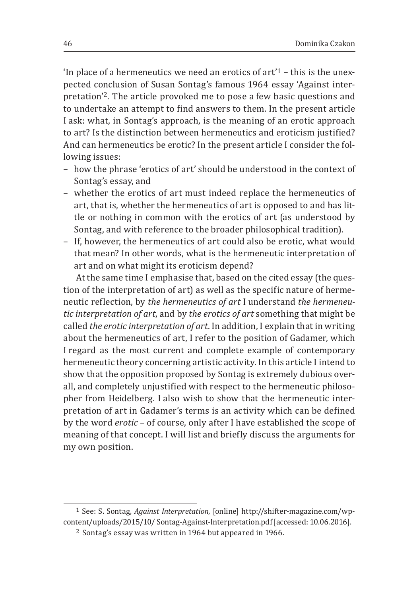'In place of a hermeneutics we need an erotics of art'1 – this is the unexpected conclusion of Susan Sontag's famous 1964 essay 'Against interpretation'2. The article provoked me to pose a few basic questions and to undertake an attempt to find answers to them. In the present article I ask: what, in Sontag's approach, is the meaning of an erotic approach to art? Is the distinction between hermeneutics and eroticism justified? And can hermeneutics be erotic? In the present article I consider the following issues:

- how the phrase 'erotics of art' should be understood in the context of Sontag's essay, and
- whether the erotics of art must indeed replace the hermeneutics of art, that is, whether the hermeneutics of art is opposed to and has little or nothing in common with the erotics of art (as understood by Sontag, and with reference to the broader philosophical tradition).
- If, however, the hermeneutics of art could also be erotic, what would that mean? In other words, what is the hermeneutic interpretation of art and on what might its eroticism depend?

At the same time I emphasise that, based on the cited essay (the question of the interpretation of art) as well as the specific nature of hermeneutic reflection, by *the hermeneutics of art* I understand *the hermeneutic interpretation of art*, and by *the erotics of art* something that might be called *the erotic interpretation of art*. In addition, I explain that in writing about the hermeneutics of art, I refer to the position of Gadamer, which I regard as the most current and complete example of contemporary hermeneutic theory concerning artistic activity. In this article I intend to show that the opposition proposed by Sontag is extremely dubious overall, and completely unjustified with respect to the hermeneutic philosopher from Heidelberg. I also wish to show that the hermeneutic interpretation of art in Gadamer's terms is an activity which can be defined by the word *erotic* – of course, only after I have established the scope of meaning of that concept. I will list and briefly discuss the arguments for my own position.

<sup>&</sup>lt;sup>1</sup> See: S. Sontag, *Against Interpretation*, [online] http://shifter-magazine.com/wpcontent/uploads/2015/10/ Sontag-Against-Interpretation.pdf [accessed: 10.06.2016].

<sup>2</sup> Sontag's essay was written in 1964 but appeared in 1966.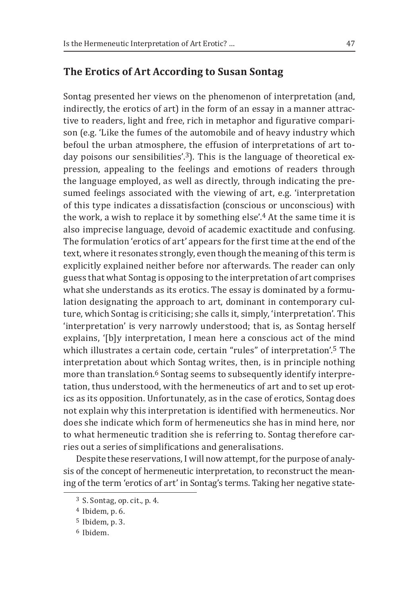## **The Erotics of Art According to Susan Sontag**

Sontag presented her views on the phenomenon of interpretation (and, indirectly, the erotics of art) in the form of an essay in a manner attractive to readers, light and free, rich in metaphor and figurative comparison (e.g. 'Like the fumes of the automobile and of heavy industry which befoul the urban atmosphere, the effusion of interpretations of art today poisons our sensibilities'.<sup>3</sup>). This is the language of theoretical expression, appealing to the feelings and emotions of readers through the language employed, as well as directly, through indicating the presumed feelings associated with the viewing of art, e.g. 'interpretation of this type indicates a dissatisfaction (conscious or unconscious) with the work, a wish to replace it by something else'.4 At the same time it is also imprecise language, devoid of academic exactitude and confusing. The formulation ʻerotics of art' appears for the first time at the end of the text, where it resonates strongly, even though the meaning of this term is explicitly explained neither before nor afterwards. The reader can only guess that what Sontag is opposing to the interpretation of art comprises what she understands as its erotics. The essay is dominated by a formulation designating the approach to art, dominant in contemporary culture, which Sontag is criticising; she calls it, simply, ʻinterpretation'. This ʻinterpretation' is very narrowly understood; that is, as Sontag herself explains, '[b]y interpretation, I mean here a conscious act of the mind which illustrates a certain code, certain "rules" of interpretation'.5 The interpretation about which Sontag writes, then, is in principle nothing more than translation.<sup>6</sup> Sontag seems to subsequently identify interpretation, thus understood, with the hermeneutics of art and to set up erotics as its opposition. Unfortunately, as in the case of erotics, Sontag does not explain why this interpretation is identified with hermeneutics. Nor does she indicate which form of hermeneutics she has in mind here, nor to what hermeneutic tradition she is referring to. Sontag therefore carries out a series of simplifications and generalisations.

Despite these reservations, I will now attempt, for the purpose of analysis of the concept of hermeneutic interpretation, to reconstruct the meaning of the term 'erotics of art' in Sontag's terms. Taking her negative state-

<sup>3</sup> S. Sontag, op. cit., p. 4.

<sup>4</sup> Ibidem, p. 6.

<sup>5</sup> Ibidem, p. 3.

<sup>6</sup> Ibidem.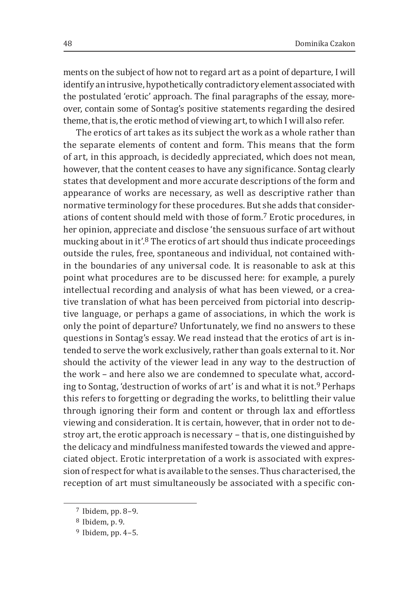ments on the subject of how not to regard art as a point of departure, I will identify an intrusive, hypothetically contradictory element associated with the postulated 'erotic' approach. The final paragraphs of the essay, moreover, contain some of Sontag's positive statements regarding the desired theme, that is, the erotic method of viewing art, to which I will also refer.

The erotics of art takes as its subject the work as a whole rather than the separate elements of content and form. This means that the form of art, in this approach, is decidedly appreciated, which does not mean, however, that the content ceases to have any significance. Sontag clearly states that development and more accurate descriptions of the form and appearance of works are necessary, as well as descriptive rather than normative terminology for these procedures. But she adds that considerations of content should meld with those of form.7 Erotic procedures, in her opinion, appreciate and disclose 'the sensuous surface of art without mucking about in it'.8 The erotics of art should thus indicate proceedings outside the rules, free, spontaneous and individual, not contained within the boundaries of any universal code. It is reasonable to ask at this point what procedures are to be discussed here: for example, a purely intellectual recording and analysis of what has been viewed, or a creative translation of what has been perceived from pictorial into descriptive language, or perhaps a game of associations, in which the work is only the point of departure? Unfortunately, we find no answers to these questions in Sontag's essay. We read instead that the erotics of art is intended to serve the work exclusively, rather than goals external to it. Nor should the activity of the viewer lead in any way to the destruction of the work – and here also we are condemned to speculate what, according to Sontag, 'destruction of works of art' is and what it is not.9 Perhaps this refers to forgetting or degrading the works, to belittling their value through ignoring their form and content or through lax and effortless viewing and consideration. It is certain, however, that in order not to destroy art, the erotic approach is necessary – that is, one distinguished by the delicacy and mindfulness manifested towards the viewed and appreciated object. Erotic interpretation of a work is associated with expression of respect for what is available to the senses. Thus characterised, the reception of art must simultaneously be associated with a specific con-

<sup>7</sup> Ibidem, pp. 8–9.

<sup>8</sup> Ibidem, p. 9.

<sup>9</sup> Ibidem, pp. 4–5.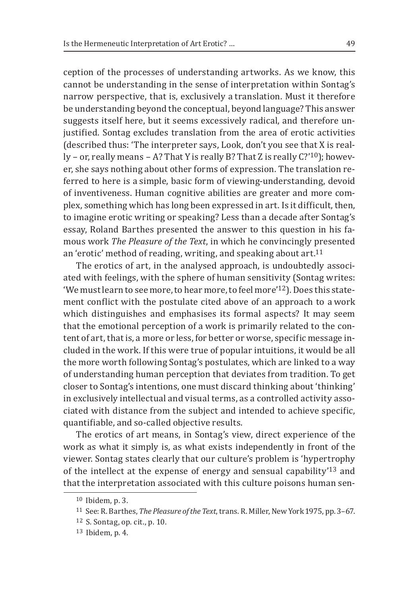ception of the processes of understanding artworks. As we know, this cannot be understanding in the sense of interpretation within Sontag's narrow perspective, that is, exclusively a translation. Must it therefore be understanding beyond the conceptual, beyond language? This answer suggests itself here, but it seems excessively radical, and therefore unjustified. Sontag excludes translation from the area of erotic activities (described thus: 'The interpreter says, Look, don't you see that X is really – or, really means – A? That Y is really B? That Z is really C?'10); however, she says nothing about other forms of expression. The translation referred to here is a simple, basic form of viewing-understanding, devoid of inventiveness. Human cognitive abilities are greater and more complex, something which has long been expressed in art. Is it difficult, then, to imagine erotic writing or speaking? Less than a decade after Sontag's essay, Roland Barthes presented the answer to this question in his famous work *The Pleasure of the Text*, in which he convincingly presented an 'erotic' method of reading, writing, and speaking about art.<sup>11</sup>

The erotics of art, in the analysed approach, is undoubtedly associated with feelings, with the sphere of human sensitivity (Sontag writes: 'We must learn to see more, to hear more, to feel more'12). Does this statement conflict with the postulate cited above of an approach to a work which distinguishes and emphasises its formal aspects? It may seem that the emotional perception of a work is primarily related to the content of art, that is, a more or less, for better or worse, specific message included in the work. If this were true of popular intuitions, it would be all the more worth following Sontag's postulates, which are linked to a way of understanding human perception that deviates from tradition. To get closer to Sontag's intentions, one must discard thinking about ʻthinking' in exclusively intellectual and visual terms, as a controlled activity associated with distance from the subject and intended to achieve specific, quantifiable, and so‑called objective results.

The erotics of art means, in Sontag's view, direct experience of the work as what it simply is, as what exists independently in front of the viewer. Sontag states clearly that our culture's problem is 'hypertrophy of the intellect at the expense of energy and sensual capability'13 and that the interpretation associated with this culture poisons human sen-

<sup>10</sup> Ibidem, p. 3.

<sup>11</sup> See: R. Barthes, *The Pleasure of the Text*, trans. R. Miller, New York 1975, pp. 3–67.

<sup>12</sup> S. Sontag, op. cit., p. 10.

<sup>13</sup> Ibidem, p. 4.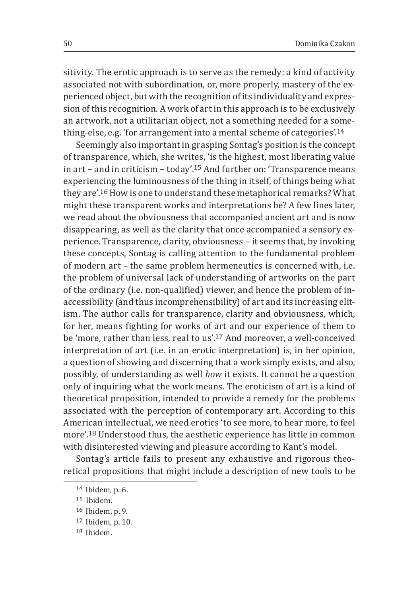sitivity. The erotic approach is to serve as the remedy: a kind of activity associated not with subordination, or, more properly, mastery of the experienced object, but with the recognition of its individuality and expression of this recognition. A work of art in this approach is to be exclusively an artwork, not a utilitarian object, not a something needed for a something-else, e.g. 'for arrangement into a mental scheme of categories'.<sup>14</sup>

Seemingly also important in grasping Sontag's position is the concept of transparence, which, she writes, 'is the highest, most liberating value in art – and in criticism – today'.15 And further on: 'Transparence means experiencing the luminousness of the thing in itself, of things being what they are'.16 How is one to understand these metaphorical remarks? What might these transparent works and interpretations be? A few lines later, we read about the obviousness that accompanied ancient art and is now disappearing, as well as the clarity that once accompanied a sensory experience. Transparence, clarity, obviousness – it seems that, by invoking these concepts, Sontag is calling attention to the fundamental problem of modern art – the same problem hermeneutics is concerned with, i.e. the problem of universal lack of understanding of artworks on the part of the ordinary (i.e. non-qualified) viewer, and hence the problem of inaccessibility (and thus incomprehensibility) of art and its increasing elitism. The author calls for transparence, clarity and obviousness, which, for her, means fighting for works of art and our experience of them to be 'more, rather than less, real to us'.<sup>17</sup> And moreover, a well-conceived interpretation of art (i.e. in an erotic interpretation) is, in her opinion, a question of showing and discerning that a work simply exists, and also, possibly, of understanding as well *how* it exists. It cannot be a question only of inquiring what the work means. The eroticism of art is a kind of theoretical proposition, intended to provide a remedy for the problems associated with the perception of contemporary art. According to this American intellectual, we need erotics 'to see more, to hear more, to feel more'.18 Understood thus, the aesthetic experience has little in common with disinterested viewing and pleasure according to Kant's model.

Sontag's article fails to present any exhaustive and rigorous theoretical propositions that might include a description of new tools to be

<sup>14</sup> Ibidem, p. 6.

<sup>15</sup> Ibidem.

<sup>16</sup> Ibidem, p. 9.

<sup>17</sup> Ibidem, p. 10.

<sup>18</sup> Ibidem.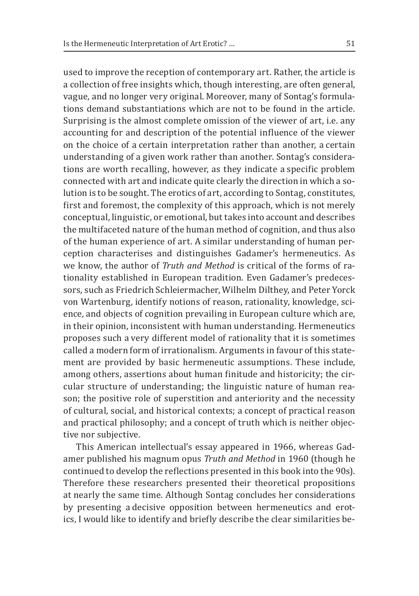used to improve the reception of contemporary art. Rather, the article is a collection of free insights which, though interesting, are often general, vague, and no longer very original. Moreover, many of Sontag's formulations demand substantiations which are not to be found in the article. Surprising is the almost complete omission of the viewer of art, i.e. any accounting for and description of the potential influence of the viewer on the choice of a certain interpretation rather than another, a certain understanding of a given work rather than another. Sontag's considerations are worth recalling, however, as they indicate a specific problem connected with art and indicate quite clearly the direction in which a solution is to be sought. The erotics of art, according to Sontag, constitutes, first and foremost, the complexity of this approach, which is not merely conceptual, linguistic, or emotional, but takes into account and describes the multifaceted nature of the human method of cognition, and thus also of the human experience of art. A similar understanding of human perception characterises and distinguishes Gadamer's hermeneutics. As we know, the author of *Truth and Method* is critical of the forms of rationality established in European tradition. Even Gadamer's predecessors, such as Friedrich Schleiermacher, Wilhelm Dilthey, and Peter Yorck von Wartenburg, identify notions of reason, rationality, knowledge, science, and objects of cognition prevailing in European culture which are, in their opinion, inconsistent with human understanding. Hermeneutics proposes such a very different model of rationality that it is sometimes called a modern form of irrationalism. Arguments in favour of this statement are provided by basic hermeneutic assumptions. These include, among others, assertions about human finitude and historicity; the circular structure of understanding; the linguistic nature of human reason; the positive role of superstition and anteriority and the necessity of cultural, social, and historical contexts; a concept of practical reason and practical philosophy; and a concept of truth which is neither objective nor subjective.

This American intellectual's essay appeared in 1966, whereas Gadamer published his magnum opus *Truth and Method* in 1960 (though he continued to develop the reflections presented in this book into the 90s). Therefore these researchers presented their theoretical propositions at nearly the same time. Although Sontag concludes her considerations by presenting a decisive opposition between hermeneutics and erotics, I would like to identify and briefly describe the clear similarities be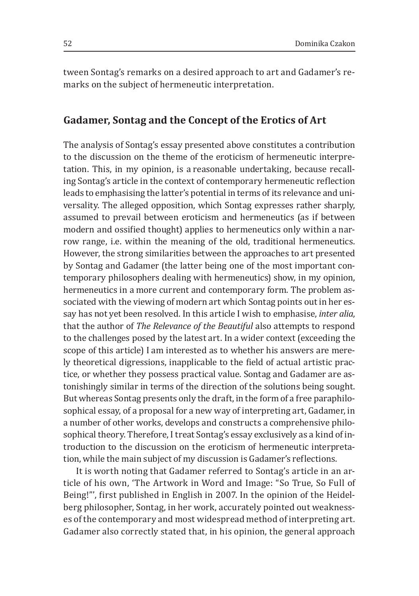tween Sontag's remarks on a desired approach to art and Gadamer's remarks on the subject of hermeneutic interpretation.

### **Gadamer, Sontag and the Concept of the Erotics of Art**

The analysis of Sontag's essay presented above constitutes a contribution to the discussion on the theme of the eroticism of hermeneutic interpretation. This, in my opinion, is a reasonable undertaking, because recalling Sontag's article in the context of contemporary hermeneutic reflection leads to emphasising the latter's potential in terms of its relevance and universality. The alleged opposition, which Sontag expresses rather sharply, assumed to prevail between eroticism and hermeneutics (as if between modern and ossified thought) applies to hermeneutics only within a narrow range, i.e. within the meaning of the old, traditional hermeneutics. However, the strong similarities between the approaches to art presented by Sontag and Gadamer (the latter being one of the most important contemporary philosophers dealing with hermeneutics) show, in my opinion, hermeneutics in a more current and contemporary form. The problem associated with the viewing of modern art which Sontag points out in her essay has not yet been resolved. In this article I wish to emphasise, *inter alia*, that the author of *The Relevance of the Beautiful* also attempts to respond to the challenges posed by the latest art. In a wider context (exceeding the scope of this article) I am interested as to whether his answers are merely theoretical digressions, inapplicable to the field of actual artistic practice, or whether they possess practical value. Sontag and Gadamer are astonishingly similar in terms of the direction of the solutions being sought. But whereas Sontag presents only the draft, in the form of a free paraphilosophical essay, of a proposal for a new way of interpreting art, Gadamer, in a number of other works, develops and constructs a comprehensive philosophical theory. Therefore, I treat Sontag's essay exclusively as a kind of introduction to the discussion on the eroticism of hermeneutic interpretation, while the main subject of my discussion is Gadamer's reflections.

It is worth noting that Gadamer referred to Sontag's article in an article of his own, 'The Artwork in Word and Image: "So True, So Full of Being!"', first published in English in 2007. In the opinion of the Heidelberg philosopher, Sontag, in her work, accurately pointed out weaknesses of the contemporary and most widespread method of interpreting art. Gadamer also correctly stated that, in his opinion, the general approach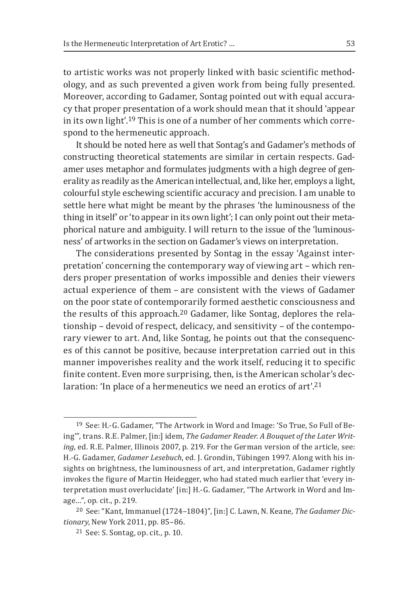to artistic works was not properly linked with basic scientific methodology, and as such prevented a given work from being fully presented. Moreover, according to Gadamer, Sontag pointed out with equal accuracy that proper presentation of a work should mean that it should 'appear in its own light'.19 This is one of a number of her comments which correspond to the hermeneutic approach.

It should be noted here as well that Sontag's and Gadamer's methods of constructing theoretical statements are similar in certain respects. Gadamer uses metaphor and formulates judgments with a high degree of generality as readily as the American intellectual, and, like her, employs a light, colourful style eschewing scientific accuracy and precision. I am unable to settle here what might be meant by the phrases 'the luminousness of the thing in itself' or 'to appear in its own light'; I can only point out their metaphorical nature and ambiguity. I will return to the issue of the 'luminousness' of artworks in the section on Gadamer's views on interpretation.

The considerations presented by Sontag in the essay 'Against interpretation' concerning the contemporary way of viewing art – which renders proper presentation of works impossible and denies their viewers actual experience of them – are consistent with the views of Gadamer on the poor state of contemporarily formed aesthetic consciousness and the results of this approach.20 Gadamer, like Sontag, deplores the relationship – devoid of respect, delicacy, and sensitivity – of the contemporary viewer to art. And, like Sontag, he points out that the consequences of this cannot be positive, because interpretation carried out in this manner impoverishes reality and the work itself, reducing it to specific finite content. Even more surprising, then, is the American scholar's declaration: 'In place of a hermeneutics we need an erotics of art'.<sup>21</sup>

<sup>19</sup> See: H.‑G. Gadamer, "The Artwork in Word and Image: 'So True, So Full of Being'", trans. R.E. Palmer, [in:] idem, *The Gadamer Reader. A Bouquet of the Later Writing*, ed. R.E. Palmer, Illinois 2007, p. 219. For the German version of the article, see: H.‑G. Gadamer, *Gadamer Lesebuch*, ed. J. Grondin, Tübingen 1997. Along with his insights on brightness, the luminousness of art, and interpretation, Gadamer rightly invokes the figure of Martin Heidegger, who had stated much earlier that 'every interpretation must overlucidate' [in:] H.‑G. Gadamer, "The Artwork in Word and Image…", op. cit., p. 219.

<sup>20</sup> See: "Kant, Immanuel (1724–1804)", [in:] C. Lawn, N. Keane, *The Gadamer Dictionary*, New York 2011, pp. 85–86.

<sup>21</sup> See: S. Sontag, op. cit., p. 10.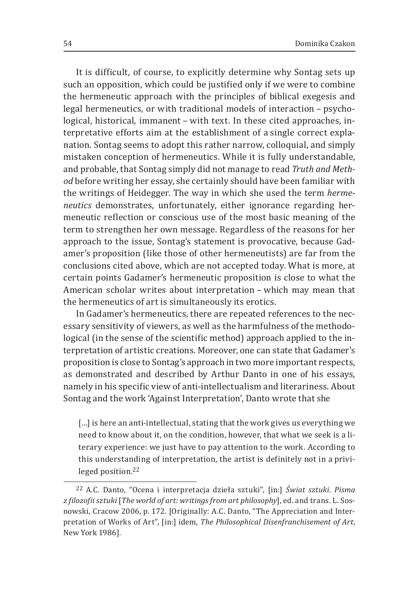It is difficult, of course, to explicitly determine why Sontag sets up such an opposition, which could be justified only if we were to combine the hermeneutic approach with the principles of biblical exegesis and legal hermeneutics, or with traditional models of interaction – psychological, historical, immanent – with text. In these cited approaches, interpretative efforts aim at the establishment of a single correct explanation. Sontag seems to adopt this rather narrow, colloquial, and simply mistaken conception of hermeneutics. While it is fully understandable, and probable, that Sontag simply did not manage to read *Truth and Method* before writing her essay, she certainly should have been familiar with the writings of Heidegger. The way in which she used the term *hermeneutics* demonstrates, unfortunately, either ignorance regarding hermeneutic reflection or conscious use of the most basic meaning of the term to strengthen her own message. Regardless of the reasons for her approach to the issue, Sontag's statement is provocative, because Gadamer's proposition (like those of other hermeneutists) are far from the conclusions cited above, which are not accepted today. What is more, at certain points Gadamer's hermeneutic proposition is close to what the American scholar writes about interpretation – which may mean that the hermeneutics of art is simultaneously its erotics.

In Gadamer's hermeneutics, there are repeated references to the necessary sensitivity of viewers, as well as the harmfulness of the methodological (in the sense of the scientific method) approach applied to the interpretation of artistic creations. Moreover, one can state that Gadamer's proposition is close to Sontag's approach in two more important respects, as demonstrated and described by Arthur Danto in one of his essays, namely in his specific view of anti-intellectualism and literariness. About Sontag and the work 'Against Interpretation', Danto wrote that she

[...] is here an anti-intellectual, stating that the work gives us everything we need to know about it, on the condition, however, that what we seek is a literary experience: we just have to pay attention to the work. According to this understanding of interpretation, the artist is definitely not in a privileged position.<sup>22</sup>

<sup>22</sup> A.C. Danto, "Ocena i interpretacja dzieła sztuki", [in:] *Świat sztuki. Pisma z filozofii sztuki* [*The world of art: writings from art philosophy*], ed. and trans. L. Sosnowski, Cracow 2006, p. 172. [Originally: A.C. Danto, "The Appreciation and Interpretation of Works of Art", [in:] idem, *The Philosophical Disenfranchisement of Art*, New York 1986].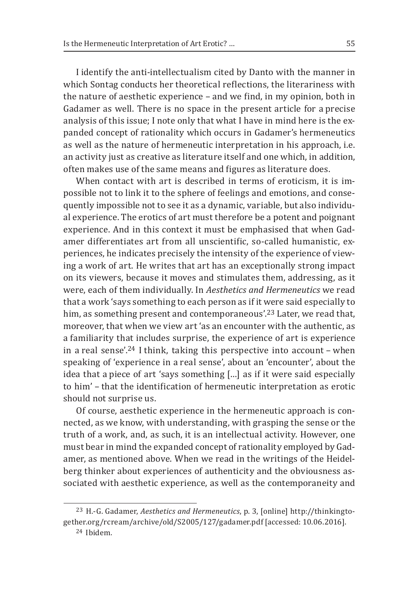I identify the anti-intellectualism cited by Danto with the manner in which Sontag conducts her theoretical reflections, the literariness with the nature of aesthetic experience – and we find, in my opinion, both in Gadamer as well. There is no space in the present article for a precise analysis of this issue; I note only that what I have in mind here is the expanded concept of rationality which occurs in Gadamer's hermeneutics as well as the nature of hermeneutic interpretation in his approach, i.e. an activity just as creative as literature itself and one which, in addition, often makes use of the same means and figures as literature does.

When contact with art is described in terms of eroticism, it is impossible not to link it to the sphere of feelings and emotions, and consequently impossible not to see it as a dynamic, variable, but also individual experience. The erotics of art must therefore be a potent and poignant experience. And in this context it must be emphasised that when Gadamer differentiates art from all unscientific, so-called humanistic, experiences, he indicates precisely the intensity of the experience of viewing a work of art. He writes that art has an exceptionally strong impact on its viewers, because it moves and stimulates them, addressing, as it were, each of them individually. In *Aesthetics and Hermeneutics* we read that a work 'says something to each person as if it were said especially to him, as something present and contemporaneous'.<sup>23</sup> Later, we read that, moreover, that when we view art 'as an encounter with the authentic, as a familiarity that includes surprise, the experience of art is experience in a real sense'.<sup>24</sup> I think, taking this perspective into account  $-$  when speaking of 'experience in a real sense', about an 'encounter', about the idea that a piece of art 'says something […] as if it were said especially to him' - that the identification of hermeneutic interpretation as erotic should not surprise us.

Of course, aesthetic experience in the hermeneutic approach is connected, as we know, with understanding, with grasping the sense or the truth of a work, and, as such, it is an intellectual activity. However, one must bear in mind the expanded concept of rationality employed by Gadamer, as mentioned above. When we read in the writings of the Heidelberg thinker about experiences of authenticity and the obviousness associated with aesthetic experience, as well as the contemporaneity and

<sup>23</sup> H.‑G. Gadamer, *Aesthetics and Hermeneutics*, p. 3, [online] http://thinkingtogether.org/rcream/archive/old/S2005/127/gadamer.pdf [accessed: 10.06.2016].

<sup>24</sup> Ibidem.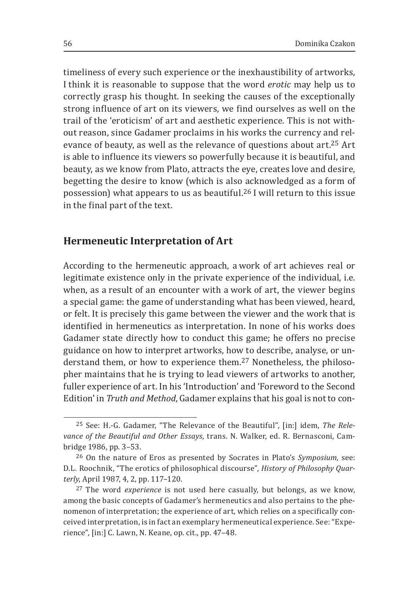timeliness of every such experience or the inexhaustibility of artworks, I think it is reasonable to suppose that the word *erotic* may help us to correctly grasp his thought. In seeking the causes of the exceptionally strong influence of art on its viewers, we find ourselves as well on the trail of the 'eroticism' of art and aesthetic experience. This is not without reason, since Gadamer proclaims in his works the currency and relevance of beauty, as well as the relevance of questions about art.25 Art is able to influence its viewers so powerfully because it is beautiful, and beauty, as we know from Plato, attracts the eye, creates love and desire, begetting the desire to know (which is also acknowledged as a form of possession) what appears to us as beautiful.26 I will return to this issue in the final part of the text.

### **Hermeneutic Interpretation of Art**

According to the hermeneutic approach, a work of art achieves real or legitimate existence only in the private experience of the individual, i.e. when, as a result of an encounter with a work of art, the viewer begins a special game: the game of understanding what has been viewed, heard, or felt. It is precisely this game between the viewer and the work that is identified in hermeneutics as interpretation. In none of his works does Gadamer state directly how to conduct this game; he offers no precise guidance on how to interpret artworks, how to describe, analyse, or understand them, or how to experience them.27 Nonetheless, the philosopher maintains that he is trying to lead viewers of artworks to another, fuller experience of art. In his 'Introduction' and 'Foreword to the Second Edition' in *Truth and Method*, Gadamer explains that his goal is not to con-

<sup>25</sup> See: H.‑G. Gadamer, "The Relevance of the Beautiful", [in:] idem, *The Relevance of the Beautiful and Other Essays*, trans. N. Walker, ed. R. Bernasconi, Cambridge 1986, pp. 3–53.

<sup>26</sup> On the nature of Eros as presented by Socrates in Plato's *Symposium*, see: D.L. Roochnik, "The erotics of philosophical discourse", *History of Philosophy Quarterly*, April 1987, 4, 2, pp. 117–120.

<sup>27</sup>The word *experience* is not used here casually, but belongs, as we know, among the basic concepts of Gadamer's hermeneutics and also pertains to the phenomenon of interpretation; the experience of art, which relies on a specifically conceived interpretation, is in fact an exemplary hermeneutical experience. See: "Experience", [in:] C. Lawn, N. Keane, op. cit., pp. 47–48.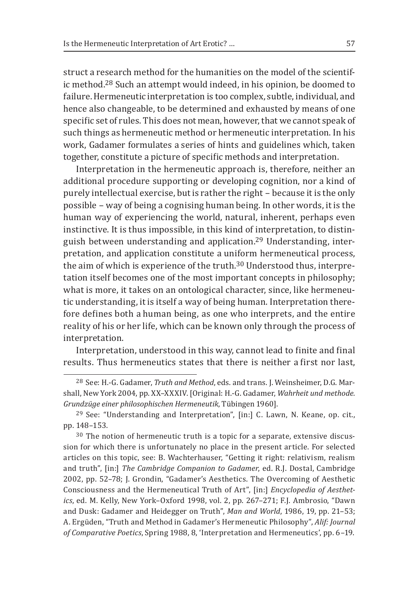struct a research method for the humanities on the model of the scientific method.28 Such an attempt would indeed, in his opinion, be doomed to failure. Hermeneutic interpretation is too complex, subtle, individual, and hence also changeable, to be determined and exhausted by means of one specific set of rules. This does not mean, however, that we cannot speak of such things as hermeneutic method or hermeneutic interpretation. In his work, Gadamer formulates a series of hints and guidelines which, taken together, constitute a picture of specific methods and interpretation.

Interpretation in the hermeneutic approach is, therefore, neither an additional procedure supporting or developing cognition, nor a kind of purely intellectual exercise, but is rather the right – because it is the only possible – way of being a cognising human being. In other words, it is the human way of experiencing the world, natural, inherent, perhaps even instinctive. It is thus impossible, in this kind of interpretation, to distinguish between understanding and application.29 Understanding, interpretation, and application constitute a uniform hermeneutical process, the aim of which is experience of the truth.<sup>30</sup> Understood thus, interpretation itself becomes one of the most important concepts in philosophy; what is more, it takes on an ontological character, since, like hermeneutic understanding, it is itself a way of being human. Interpretation therefore defines both a human being, as one who interprets, and the entire reality of his or her life, which can be known only through the process of interpretation.

Interpretation, understood in this way, cannot lead to finite and final results. Thus hermeneutics states that there is neither a first nor last,

<sup>28</sup> See: H.‑G. Gadamer, *Truth and Method*, eds. and trans. J. Weinsheimer, D.G. Marshall, New York 2004, pp. XX–XXXIV. [Original: H.‑G. Gadamer, *Wahrheit und methode. Grundzüge einer philosophischen Hermeneutik*, Tübingen 1960].

<sup>29</sup> See: "Understanding and Interpretation", [in:] C. Lawn, N. Keane, op. cit., pp. 148–153.

<sup>30</sup> The notion of hermeneutic truth is a topic for a separate, extensive discussion for which there is unfortunately no place in the present article. For selected articles on this topic, see: B. Wachterhauser, "Getting it right: relativism, realism and truth", [in:] *The Cambridge Companion to Gadamer*, ed. R.J. Dostal, Cambridge 2002, pp. 52–78; J. Grondin, "Gadamer's Aesthetics. The Overcoming of Aesthetic Consciousness and the Hermeneutical Truth of Art", [in:] *Encyclopedia of Aesthetics*, ed. M. Kelly, New York–Oxford 1998, vol. 2, pp. 267–271; F.J. Ambrosio, "Dawn and Dusk: Gadamer and Heidegger on Truth", *Man and World*, 1986, 19, pp. 21–53; A. Ergüden, "Truth and Method in Gadamer's Hermeneutic Philosophy", *Alif: Journal of Comparative Poetics*, Spring 1988, 8, 'Interpretation and Hermeneutics', pp. 6–19.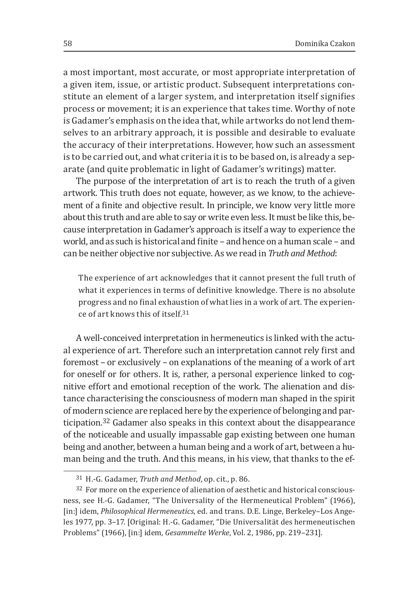a most important, most accurate, or most appropriate interpretation of a given item, issue, or artistic product. Subsequent interpretations constitute an element of a larger system, and interpretation itself signifies process or movement; it is an experience that takes time. Worthy of note is Gadamer's emphasis on the idea that, while artworks do not lend themselves to an arbitrary approach, it is possible and desirable to evaluate the accuracy of their interpretations. However, how such an assessment is to be carried out, and what criteria it is to be based on, is already a separate (and quite problematic in light of Gadamer's writings) matter.

The purpose of the interpretation of art is to reach the truth of a given artwork. This truth does not equate, however, as we know, to the achievement of a finite and objective result. In principle, we know very little more about this truth and are able to say or write even less. It must be like this, because interpretation in Gadamer's approach is itself a way to experience the world, and as such is historical and finite – and hence on a human scale – and can be neither objective nor subjective. As we read in *Truth and Method*:

The experience of art acknowledges that it cannot present the full truth of what it experiences in terms of definitive knowledge. There is no absolute progress and no final exhaustion of what lies in a work of art. The experience of art knows this of itself.<sup>31</sup>

A well-conceived interpretation in hermeneutics is linked with the actual experience of art. Therefore such an interpretation cannot rely first and foremost – or exclusively – on explanations of the meaning of a work of art for oneself or for others. It is, rather, a personal experience linked to cognitive effort and emotional reception of the work. The alienation and distance characterising the consciousness of modern man shaped in the spirit of modern science are replaced here by the experience of belonging and participation.32 Gadamer also speaks in this context about the disappearance of the noticeable and usually impassable gap existing between one human being and another, between a human being and a work of art, between a human being and the truth. And this means, in his view, that thanks to the ef-

<sup>31</sup> H.‑G. Gadamer, *Truth and Method*, op. cit., p. 86.

<sup>&</sup>lt;sup>32</sup> For more on the experience of alienation of aesthetic and historical consciousness, see H.‑G. Gadamer, "The Universality of the Hermeneutical Problem" (1966), [in:] idem, *Philosophical Hermeneutics*, ed. and trans. D.E. Linge, Berkeley–Los Angeles 1977, pp. 3–17. [Original: H.‑G. Gadamer, "Die Universalität des hermeneutischen Problems" (1966), [in:] idem, *Gesammelte Werke*, Vol. 2, 1986, pp. 219–231].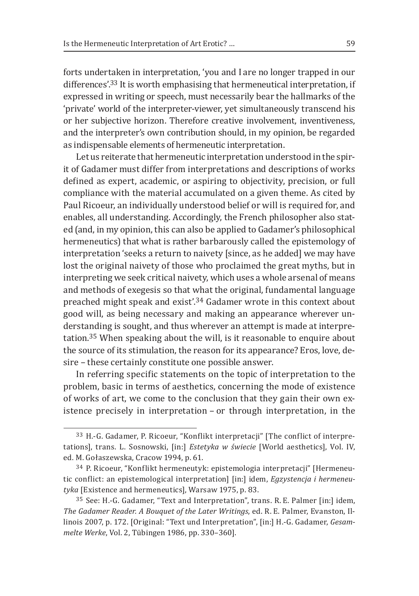forts undertaken in interpretation, 'you and I are no longer trapped in our differences'.33 It is worth emphasising that hermeneutical interpretation, if expressed in writing or speech, must necessarily bear the hallmarks of the 'private' world of the interpreter‑viewer, yet simultaneously transcend his or her subjective horizon. Therefore creative involvement, inventiveness, and the interpreter's own contribution should, in my opinion, be regarded as indispensable elements of hermeneutic interpretation.

Let us reiterate that hermeneutic interpretation understood in the spirit of Gadamer must differ from interpretations and descriptions of works defined as expert, academic, or aspiring to objectivity, precision, or full compliance with the material accumulated on a given theme. As cited by Paul Ricoeur, an individually understood belief or will is required for, and enables, all understanding. Accordingly, the French philosopher also stated (and, in my opinion, this can also be applied to Gadamer's philosophical hermeneutics) that what is rather barbarously called the epistemology of interpretation 'seeks a return to naivety [since, as he added] we may have lost the original naivety of those who proclaimed the great myths, but in interpreting we seek critical naivety, which uses a whole arsenal of means and methods of exegesis so that what the original, fundamental language preached might speak and exist'.34 Gadamer wrote in this context about good will, as being necessary and making an appearance wherever understanding is sought, and thus wherever an attempt is made at interpretation.35 When speaking about the will, is it reasonable to enquire about the source of its stimulation, the reason for its appearance? Eros, love, desire - these certainly constitute one possible answer.

In referring specific statements on the topic of interpretation to the problem, basic in terms of aesthetics, concerning the mode of existence of works of art, we come to the conclusion that they gain their own existence precisely in interpretation – or through interpretation, in the

<sup>33</sup> H.‑G. Gadamer, P. Ricoeur, "Konflikt interpretacji" [The conflict of interpretations], trans. L. Sosnowski, [in:] *Estetyka w świecie* [World aesthetics], Vol. IV, ed. M. Gołaszewska, Cracow 1994, p. 61.

<sup>34</sup> P. Ricoeur, "Konflikt hermeneutyk: epistemologia interpretacji" [Hermeneutic conflict: an epistemological interpretation] [in:] idem, *Egzystencja i hermeneutyka* [Existence and hermeneutics], Warsaw 1975, p. 83.

<sup>35</sup> See: H.‑G. Gadamer, "Text and Interpretation", trans. R. E. Palmer [in:] idem, *The Gadamer Reader. A Bouquet of the Later Writings*, ed. R. E. Palmer, Evanston, Illinois 2007, p. 172. [Original: "Text und Interpretation", [in:] H.‑G. Gadamer, *Gesammelte Werke*, Vol. 2, Tübingen 1986, pp. 330–360].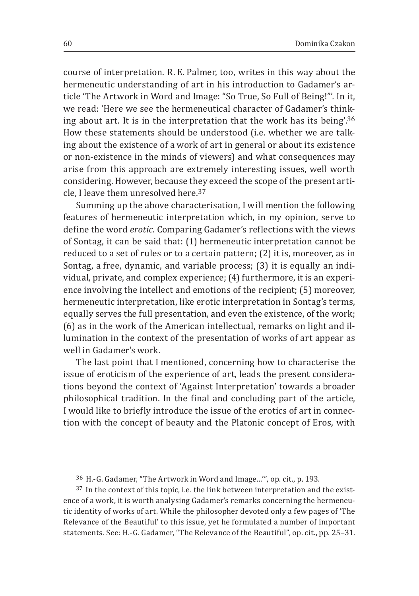course of interpretation. R. E. Palmer, too, writes in this way about the hermeneutic understanding of art in his introduction to Gadamer's article 'The Artwork in Word and Image: "So True, So Full of Being!"'*.* In it, we read: 'Here we see the hermeneutical character of Gadamer's thinking about art. It is in the interpretation that the work has its being'.<sup>36</sup> How these statements should be understood (i.e. whether we are talking about the existence of a work of art in general or about its existence or non‑existence in the minds of viewers) and what consequences may arise from this approach are extremely interesting issues, well worth considering. However, because they exceed the scope of the present article, I leave them unresolved here.<sup>37</sup>

Summing up the above characterisation, I will mention the following features of hermeneutic interpretation which, in my opinion, serve to define the word *erotic*. Comparing Gadamer's reflections with the views of Sontag, it can be said that: (1) hermeneutic interpretation cannot be reduced to a set of rules or to a certain pattern; (2) it is, moreover, as in Sontag, a free, dynamic, and variable process; (3) it is equally an individual, private, and complex experience; (4) furthermore, it is an experience involving the intellect and emotions of the recipient; (5) moreover, hermeneutic interpretation, like erotic interpretation in Sontag's terms, equally serves the full presentation, and even the existence, of the work; (6) as in the work of the American intellectual, remarks on light and illumination in the context of the presentation of works of art appear as well in Gadamer's work.

The last point that I mentioned, concerning how to characterise the issue of eroticism of the experience of art, leads the present considerations beyond the context of 'Against Interpretation' towards a broader philosophical tradition. In the final and concluding part of the article, I would like to briefly introduce the issue of the erotics of art in connection with the concept of beauty and the Platonic concept of Eros, with

<sup>36</sup> H.‑G. Gadamer, "The Artwork in Word and Image...'", op. cit., p. 193.

<sup>&</sup>lt;sup>37</sup> In the context of this topic, i.e. the link between interpretation and the existence of a work, it is worth analysing Gadamer's remarks concerning the hermeneutic identity of works of art. While the philosopher devoted only a few pages of 'The Relevance of the Beautiful' to this issue, yet he formulated a number of important statements. See: H.‑G. Gadamer, "The Relevance of the Beautiful", op. cit., pp. 25–31.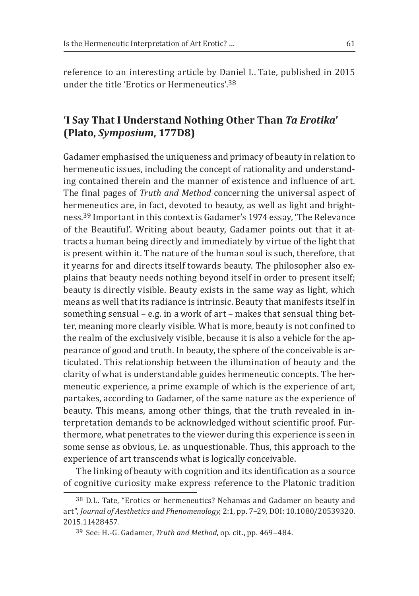reference to an interesting article by Daniel L. Tate, published in 2015 under the title 'Erotics or Hermeneutics' 38

# **'I Say That I Understand Nothing Other Than** *Ta Erotika***' (Plato,** *Symposium***, 177D8)**

Gadamer emphasised the uniqueness and primacy of beauty in relation to hermeneutic issues, including the concept of rationality and understanding contained therein and the manner of existence and influence of art. The final pages of *Truth and Method* concerning the universal aspect of hermeneutics are, in fact, devoted to beauty, as well as light and brightness.39 Important in this context is Gadamer's 1974 essay, 'The Relevance of the Beautiful'. Writing about beauty, Gadamer points out that it attracts a human being directly and immediately by virtue of the light that is present within it. The nature of the human soul is such, therefore, that it yearns for and directs itself towards beauty. The philosopher also explains that beauty needs nothing beyond itself in order to present itself; beauty is directly visible. Beauty exists in the same way as light, which means as well that its radiance is intrinsic. Beauty that manifests itself in something sensual – e.g. in a work of art – makes that sensual thing better, meaning more clearly visible. What is more, beauty is not confined to the realm of the exclusively visible, because it is also a vehicle for the appearance of good and truth. In beauty, the sphere of the conceivable is articulated. This relationship between the illumination of beauty and the clarity of what is understandable guides hermeneutic concepts. The hermeneutic experience, a prime example of which is the experience of art, partakes, according to Gadamer, of the same nature as the experience of beauty. This means, among other things, that the truth revealed in interpretation demands to be acknowledged without scientific proof. Furthermore, what penetrates to the viewer during this experience is seen in some sense as obvious, i.e. as unquestionable. Thus, this approach to the experience of art transcends what is logically conceivable.

The linking of beauty with cognition and its identification as a source of cognitive curiosity make express reference to the Platonic tradition

<sup>38</sup> D.L. Tate, "Erotics or hermeneutics? Nehamas and Gadamer on beauty and art", *Journal of Aesthetics and Phenomenology*, 2:1, pp. 7–29, DOI: 10.1080/20539320. 2015.11428457.

<sup>39</sup> See: H.‑G. Gadamer, *Truth and Method*, op. cit., pp. 469–484.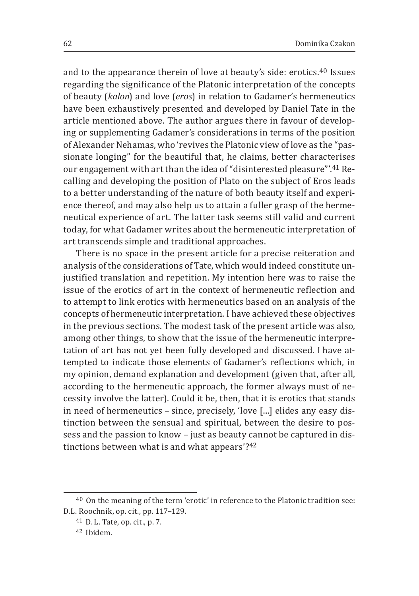and to the appearance therein of love at beauty's side: erotics.40 Issues regarding the significance of the Platonic interpretation of the concepts of beauty (*kalon*) and love (*eros*) in relation to Gadamer's hermeneutics have been exhaustively presented and developed by Daniel Tate in the article mentioned above. The author argues there in favour of developing or supplementing Gadamer's considerations in terms of the position of Alexander Nehamas, who 'revives the Platonic view of love as the "passionate longing" for the beautiful that, he claims, better characterises our engagement with art than the idea of "disinterested pleasure"'.41 Recalling and developing the position of Plato on the subject of Eros leads to a better understanding of the nature of both beauty itself and experience thereof, and may also help us to attain a fuller grasp of the hermeneutical experience of art. The latter task seems still valid and current today, for what Gadamer writes about the hermeneutic interpretation of art transcends simple and traditional approaches.

There is no space in the present article for a precise reiteration and analysis of the considerations of Tate, which would indeed constitute unjustified translation and repetition. My intention here was to raise the issue of the erotics of art in the context of hermeneutic reflection and to attempt to link erotics with hermeneutics based on an analysis of the concepts of hermeneutic interpretation. I have achieved these objectives in the previous sections. The modest task of the present article was also, among other things, to show that the issue of the hermeneutic interpretation of art has not yet been fully developed and discussed. I have attempted to indicate those elements of Gadamer's reflections which, in my opinion, demand explanation and development (given that, after all, according to the hermeneutic approach, the former always must of necessity involve the latter). Could it be, then, that it is erotics that stands in need of hermeneutics – since, precisely, 'love […] elides any easy distinction between the sensual and spiritual, between the desire to possess and the passion to know – just as beauty cannot be captured in distinctions between what is and what appears'?<sup>42</sup>

<sup>40</sup> On the meaning of the term 'erotic' in reference to the Platonic tradition see: D.L. Roochnik, op. cit., pp. 117–129.

<sup>41</sup> D. L. Tate, op. cit., p. 7.

<sup>42</sup> Ibidem.